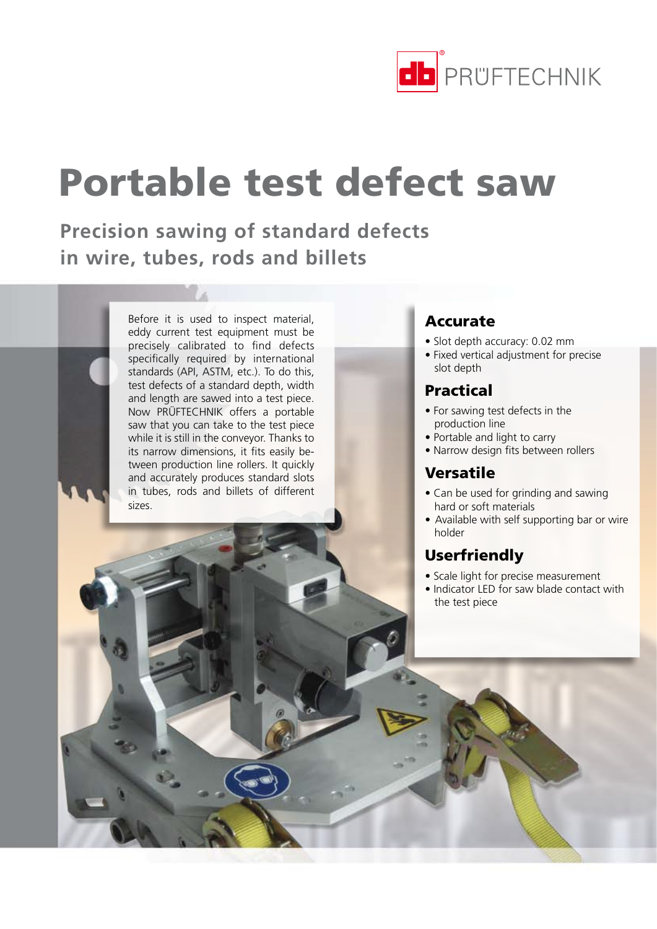

# Portable test defect saw

**Precision sawing of standard defects in wire, tubes, rods and billets** 

> Before it is used to inspect material, eddy current test equipment must be precisely calibrated to find defects specifically required by international standards (API, ASTM, etc.). To do this, test defects of a standard depth, width and length are sawed into a test piece. Now PRÜFTECHNIK offers a portable saw that you can take to the test piece while it is still in the conveyor. Thanks to its narrow dimensions, it fits easily between production line rollers. It quickly and accurately produces standard slots in tubes, rods and billets of different sizes.

### Accurate

- • Slot depth accuracy: 0.02 mm
- • Fixed vertical adjustment for precise slot depth

### Practical

- • For sawing test defects in the production line
- Portable and light to carry
- Narrow design fits between rollers

### Versatile

- Can be used for grinding and sawing hard or soft materials
- Available with self supporting bar or wire holder

### Userfriendly

- Scale light for precise measurement
- Indicator LED for saw blade contact with the test piece